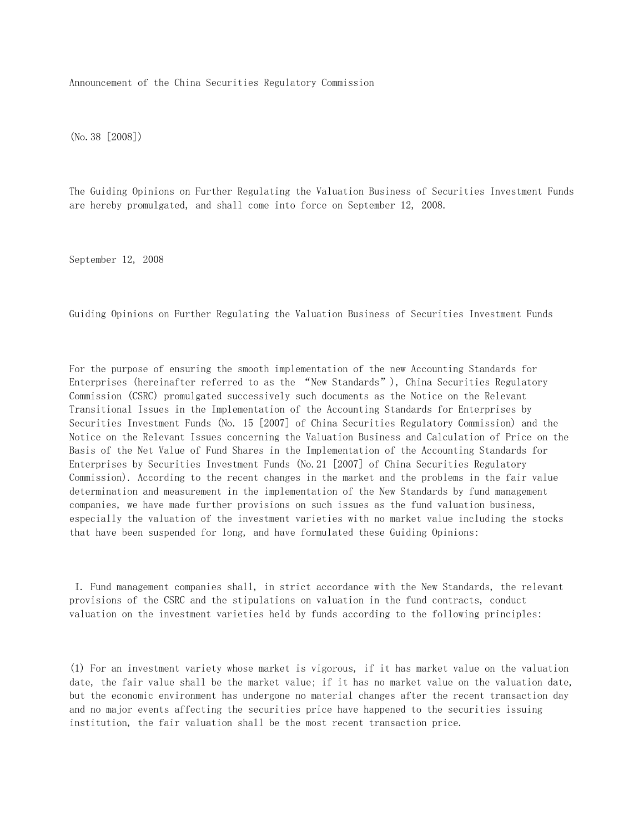Announcement of the China Securities Regulatory Commission

(No.38 [2008])

The Guiding Opinions on Further Regulating the Valuation Business of Securities Investment Funds are hereby promulgated, and shall come into force on September 12, 2008.

September 12, 2008

Guiding Opinions on Further Regulating the Valuation Business of Securities Investment Funds

For the purpose of ensuring the smooth implementation of the new Accounting Standards for Enterprises (hereinafter referred to as the "New Standards"), China Securities Regulatory Commission (CSRC) promulgated successively such documents as the Notice on the Relevant Transitional Issues in the Implementation of the Accounting Standards for Enterprises by Securities Investment Funds (No. 15 [2007] of China Securities Regulatory Commission) and the Notice on the Relevant Issues concerning the Valuation Business and Calculation of Price on the Basis of the Net Value of Fund Shares in the Implementation of the Accounting Standards for Enterprises by Securities Investment Funds (No.21 [2007] of China Securities Regulatory Commission). According to the recent changes in the market and the problems in the fair value determination and measurement in the implementation of the New Standards by fund management companies, we have made further provisions on such issues as the fund valuation business, especially the valuation of the investment varieties with no market value including the stocks that have been suspended for long, and have formulated these Guiding Opinions:

 I. Fund management companies shall, in strict accordance with the New Standards, the relevant provisions of the CSRC and the stipulations on valuation in the fund contracts, conduct valuation on the investment varieties held by funds according to the following principles:

(1) For an investment variety whose market is vigorous, if it has market value on the valuation date, the fair value shall be the market value; if it has no market value on the valuation date, but the economic environment has undergone no material changes after the recent transaction day and no major events affecting the securities price have happened to the securities issuing institution, the fair valuation shall be the most recent transaction price.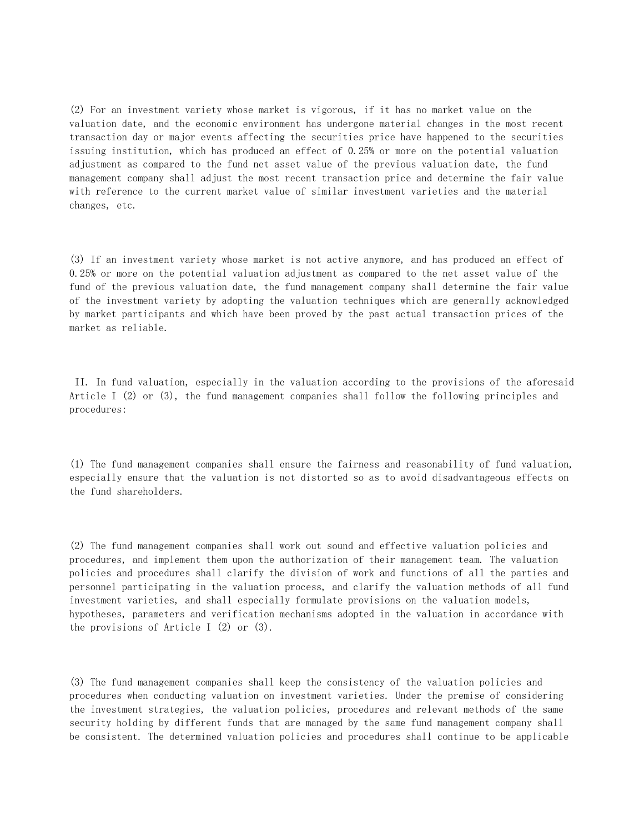(2) For an investment variety whose market is vigorous, if it has no market value on the valuation date, and the economic environment has undergone material changes in the most recent transaction day or major events affecting the securities price have happened to the securities issuing institution, which has produced an effect of 0.25% or more on the potential valuation adjustment as compared to the fund net asset value of the previous valuation date, the fund management company shall adjust the most recent transaction price and determine the fair value with reference to the current market value of similar investment varieties and the material changes, etc.

(3) If an investment variety whose market is not active anymore, and has produced an effect of 0.25% or more on the potential valuation adjustment as compared to the net asset value of the fund of the previous valuation date, the fund management company shall determine the fair value of the investment variety by adopting the valuation techniques which are generally acknowledged by market participants and which have been proved by the past actual transaction prices of the market as reliable.

 II. In fund valuation, especially in the valuation according to the provisions of the aforesaid Article I (2) or (3), the fund management companies shall follow the following principles and procedures:

(1) The fund management companies shall ensure the fairness and reasonability of fund valuation, especially ensure that the valuation is not distorted so as to avoid disadvantageous effects on the fund shareholders.

(2) The fund management companies shall work out sound and effective valuation policies and procedures, and implement them upon the authorization of their management team. The valuation policies and procedures shall clarify the division of work and functions of all the parties and personnel participating in the valuation process, and clarify the valuation methods of all fund investment varieties, and shall especially formulate provisions on the valuation models, hypotheses, parameters and verification mechanisms adopted in the valuation in accordance with the provisions of Article I (2) or (3).

(3) The fund management companies shall keep the consistency of the valuation policies and procedures when conducting valuation on investment varieties. Under the premise of considering the investment strategies, the valuation policies, procedures and relevant methods of the same security holding by different funds that are managed by the same fund management company shall be consistent. The determined valuation policies and procedures shall continue to be applicable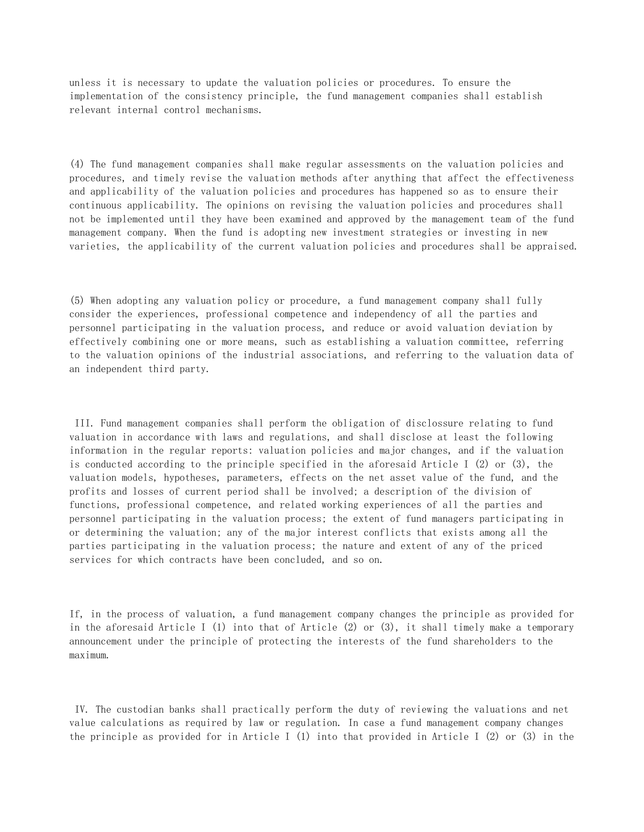unless it is necessary to update the valuation policies or procedures. To ensure the implementation of the consistency principle, the fund management companies shall establish relevant internal control mechanisms.

(4) The fund management companies shall make regular assessments on the valuation policies and procedures, and timely revise the valuation methods after anything that affect the effectiveness and applicability of the valuation policies and procedures has happened so as to ensure their continuous applicability. The opinions on revising the valuation policies and procedures shall not be implemented until they have been examined and approved by the management team of the fund management company. When the fund is adopting new investment strategies or investing in new varieties, the applicability of the current valuation policies and procedures shall be appraised.

(5) When adopting any valuation policy or procedure, a fund management company shall fully consider the experiences, professional competence and independency of all the parties and personnel participating in the valuation process, and reduce or avoid valuation deviation by effectively combining one or more means, such as establishing a valuation committee, referring to the valuation opinions of the industrial associations, and referring to the valuation data of an independent third party.

 III. Fund management companies shall perform the obligation of disclossure relating to fund valuation in accordance with laws and regulations, and shall disclose at least the following information in the regular reports: valuation policies and major changes, and if the valuation is conducted according to the principle specified in the aforesaid Article I (2) or (3), the valuation models, hypotheses, parameters, effects on the net asset value of the fund, and the profits and losses of current period shall be involved; a description of the division of functions, professional competence, and related working experiences of all the parties and personnel participating in the valuation process; the extent of fund managers participating in or determining the valuation; any of the major interest conflicts that exists among all the parties participating in the valuation process; the nature and extent of any of the priced services for which contracts have been concluded, and so on.

If, in the process of valuation, a fund management company changes the principle as provided for in the aforesaid Article I (1) into that of Article (2) or (3), it shall timely make a temporary announcement under the principle of protecting the interests of the fund shareholders to the maximum.

 IV. The custodian banks shall practically perform the duty of reviewing the valuations and net value calculations as required by law or regulation. In case a fund management company changes the principle as provided for in Article I (1) into that provided in Article I (2) or (3) in the